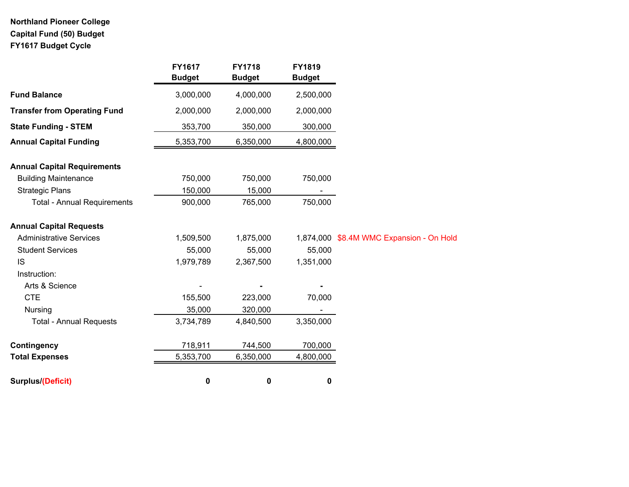# **Northland Pioneer College Capital Fund (50) Budget FY1617 Budget Cycle**

|                                     | FY1617<br><b>Budget</b> | <b>FY1718</b><br><b>Budget</b> | FY1819<br><b>Budget</b> |                                          |
|-------------------------------------|-------------------------|--------------------------------|-------------------------|------------------------------------------|
| <b>Fund Balance</b>                 | 3,000,000               | 4,000,000                      | 2,500,000               |                                          |
| <b>Transfer from Operating Fund</b> | 2,000,000               | 2,000,000                      | 2,000,000               |                                          |
| <b>State Funding - STEM</b>         | 353,700                 | 350,000                        | 300,000                 |                                          |
| <b>Annual Capital Funding</b>       | 5,353,700               | 6,350,000                      | 4,800,000               |                                          |
| <b>Annual Capital Requirements</b>  |                         |                                |                         |                                          |
| <b>Building Maintenance</b>         | 750,000                 | 750,000                        | 750,000                 |                                          |
| <b>Strategic Plans</b>              | 150,000                 | 15,000                         |                         |                                          |
| <b>Total - Annual Requirements</b>  | 900,000                 | 765,000                        | 750,000                 |                                          |
| <b>Annual Capital Requests</b>      |                         |                                |                         |                                          |
| <b>Administrative Services</b>      | 1,509,500               | 1,875,000                      |                         | 1,874,000 \$8.4M WMC Expansion - On Hold |
| <b>Student Services</b>             | 55,000                  | 55,000                         | 55,000                  |                                          |
| <b>IS</b>                           | 1,979,789               | 2,367,500                      | 1,351,000               |                                          |
| Instruction:                        |                         |                                |                         |                                          |
| Arts & Science                      |                         |                                |                         |                                          |
| <b>CTE</b>                          | 155,500                 | 223,000                        | 70,000                  |                                          |
| Nursing                             | 35,000                  | 320,000                        |                         |                                          |
| <b>Total - Annual Requests</b>      | 3,734,789               | 4,840,500                      | 3,350,000               |                                          |
| Contingency                         | 718,911                 | 744,500                        | 700,000                 |                                          |
| <b>Total Expenses</b>               | 5,353,700               | 6,350,000                      | 4,800,000               |                                          |
| Surplus/(Deficit)                   | 0                       | 0                              | 0                       |                                          |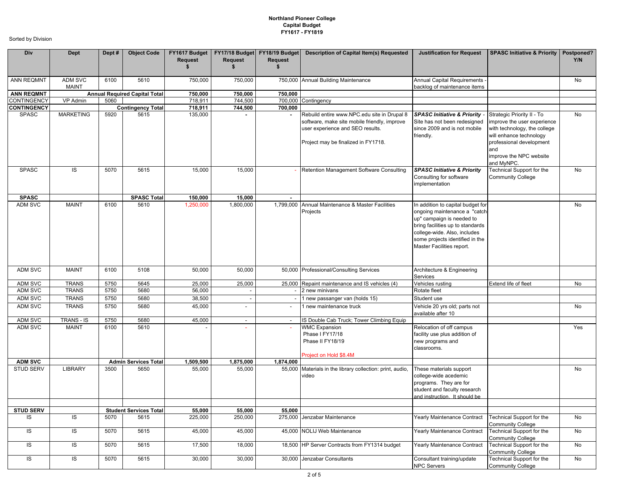| Div                | Dept                    | Dept# | <b>Object Code</b>                   | FY1617 Budget<br>Request<br>\$ | <b>Request</b><br>\$     | <b>Request</b><br>\$     | FY17/18 Budget   FY18/19 Budget   Description of Capital Item(s) Requested                                                                                             | <b>Justification for Request</b>                                                                                                                                                                                                    | <b>SPASC Initiative &amp; Priority</b>                                                                                                                                                           | Postponed?<br>Y/N |
|--------------------|-------------------------|-------|--------------------------------------|--------------------------------|--------------------------|--------------------------|------------------------------------------------------------------------------------------------------------------------------------------------------------------------|-------------------------------------------------------------------------------------------------------------------------------------------------------------------------------------------------------------------------------------|--------------------------------------------------------------------------------------------------------------------------------------------------------------------------------------------------|-------------------|
| <b>ANN REQMNT</b>  | ADM SVC<br><b>MAINT</b> | 6100  | 5610                                 | 750,000                        | 750,000                  |                          | 750,000 Annual Building Maintenance                                                                                                                                    | Annual Capital Requirements -<br>backlog of maintenance items                                                                                                                                                                       |                                                                                                                                                                                                  | No                |
| <b>ANN REQMNT</b>  |                         |       | <b>Annual Required Capital Total</b> | 750,000                        | 750,000                  | 750,000                  |                                                                                                                                                                        |                                                                                                                                                                                                                                     |                                                                                                                                                                                                  |                   |
| <b>CONTINGENCY</b> | VP Admin                | 5060  |                                      | 718,911                        | 744,500                  |                          | 700,000 Contingency                                                                                                                                                    |                                                                                                                                                                                                                                     |                                                                                                                                                                                                  |                   |
| <b>CONTINGENCY</b> |                         |       | <b>Contingency Total</b>             | 718,911                        | 744,500                  | 700,000                  |                                                                                                                                                                        |                                                                                                                                                                                                                                     |                                                                                                                                                                                                  |                   |
| <b>SPASC</b>       | <b>MARKETING</b>        | 5920  | 5615                                 | 135,000                        |                          |                          | Rebuild entire www.NPC.edu site in Drupal 8<br>software, make site mobile friendly, improve<br>user experience and SEO results.<br>Project may be finalized in FY1718. | <b>SPASC Initiative &amp; Priority</b><br>Site has not been redesigned<br>since 2009 and is not mobile<br>friendly.                                                                                                                 | Strategic Priority II - To<br>improve the user experience<br>with technology, the college<br>will enhance technology<br>professional development<br>and<br>improve the NPC website<br>and MyNPC. | No                |
| <b>SPASC</b>       | IS                      | 5070  | 5615                                 | 15,000                         | 15,000                   |                          | Retention Management Software Consulting                                                                                                                               | <b>SPASC Initiative &amp; Priority</b><br>Consulting for software<br>implementation                                                                                                                                                 | Technical Support for the<br><b>Community College</b>                                                                                                                                            | No                |
| <b>SPASC</b>       |                         |       | <b>SPASC Total</b>                   | 150,000                        | 15,000                   |                          |                                                                                                                                                                        |                                                                                                                                                                                                                                     |                                                                                                                                                                                                  |                   |
| ADM SVC            | <b>MAINT</b>            | 6100  | 5610                                 | 1,250,000                      | 1,800,000                | 1,799,000                | Annual Maintenance & Master Facilities<br>Projects                                                                                                                     | In addition to capital budget for<br>ongoing maintenance a "catch-<br>up" campaign is needed to<br>bring facilities up to standards<br>college-wide. Also, includes<br>some projects identified in the<br>Master Facilities report. |                                                                                                                                                                                                  | <b>No</b>         |
| <b>ADM SVC</b>     | <b>MAINT</b>            | 6100  | 5108                                 | 50,000                         | 50,000                   |                          | 50,000 Professional/Consulting Services                                                                                                                                | Architecture & Engineering<br>Services                                                                                                                                                                                              |                                                                                                                                                                                                  |                   |
| <b>ADM SVC</b>     | <b>TRANS</b>            | 5750  | 5645                                 | 25,000                         | 25,000                   | 25,000                   | Repaint maintenance and IS vehicles (4)                                                                                                                                | Vehicles rusting                                                                                                                                                                                                                    | Extend life of fleet                                                                                                                                                                             | No                |
| <b>ADM SVC</b>     | <b>TRANS</b>            | 5750  | 5680                                 | 56,000                         |                          |                          | 2 new minivans                                                                                                                                                         | Rotate fleet                                                                                                                                                                                                                        |                                                                                                                                                                                                  |                   |
| ADM SVC            | <b>TRANS</b>            | 5750  | 5680                                 | 38,500                         | $\overline{\phantom{a}}$ | $\overline{\phantom{a}}$ | 1 new passanger van (holds 15)                                                                                                                                         | Student use                                                                                                                                                                                                                         |                                                                                                                                                                                                  |                   |
| ADM SVC            | <b>TRANS</b>            | 5750  | 5680                                 | 45,000                         | $\overline{\phantom{a}}$ |                          | 1 new maintenance truck                                                                                                                                                | Vehicle 20 yrs old; parts not<br>available after 10                                                                                                                                                                                 |                                                                                                                                                                                                  | No                |
| ADM SVC            | TRANS - IS              | 5750  | 5680                                 | 45,000                         | $\sim$                   | $\sim$                   | IS Double Cab Truck; Tower Climbing Equip                                                                                                                              |                                                                                                                                                                                                                                     |                                                                                                                                                                                                  |                   |
| ADM SVC            | <b>MAINT</b>            | 6100  | 5610                                 |                                | $\sim$                   | $\sim$                   | <b>WMC Expansion</b><br>Phase I FY17/18<br>Phase II FY18/19<br>Project on Hold \$8.4M                                                                                  | Relocation of off campus<br>facility use plus addition of<br>new programs and<br>classrooms.                                                                                                                                        |                                                                                                                                                                                                  | Yes               |
| <b>ADM SVC</b>     |                         |       | <b>Admin Services Total</b>          | 1,509,500                      | 1,875,000                | 1,874,000                |                                                                                                                                                                        |                                                                                                                                                                                                                                     |                                                                                                                                                                                                  |                   |
| <b>STUD SERV</b>   | <b>LIBRARY</b>          | 3500  | 5650                                 | 55,000                         | 55,000                   | 55,000                   | Materials in the library collection: print, audio,<br>video                                                                                                            | These materials support<br>college-wide acedemic<br>programs. They are for<br>student and faculty research<br>and instruction. It should be                                                                                         |                                                                                                                                                                                                  | No                |
| <b>STUD SERV</b>   |                         |       | <b>Student Services Total</b>        | 55,000                         | 55,000                   | 55,000                   |                                                                                                                                                                        |                                                                                                                                                                                                                                     |                                                                                                                                                                                                  |                   |
| IS                 | IS                      | 5070  | 5615                                 | 225,000                        | 250,000                  |                          | 275,000 Jenzabar Maintenance                                                                                                                                           | Yearly Maintenance Contract                                                                                                                                                                                                         | Technical Support for the<br><b>Community College</b>                                                                                                                                            | No                |
| IS                 | IS                      | 5070  | 5615                                 | 45,000                         | 45,000                   |                          | 45,000 NOLIJ Web Maintenance                                                                                                                                           | Yearly Maintenance Contract                                                                                                                                                                                                         | Technical Support for the<br><b>Community College</b>                                                                                                                                            | No                |
| IS                 | IS                      | 5070  | 5615                                 | 17,500                         | 18,000                   |                          | 18,500 HP Server Contracts from FY1314 budget                                                                                                                          | Yearly Maintenance Contract                                                                                                                                                                                                         | Technical Support for the<br><b>Community College</b>                                                                                                                                            | No                |
| IS                 | IS                      | 5070  | 5615                                 | 30,000                         | 30,000                   | 30,000                   | Jenzabar Consultants                                                                                                                                                   | Consultant training/update<br><b>NPC Servers</b>                                                                                                                                                                                    | Technical Support for the<br><b>Community College</b>                                                                                                                                            | No                |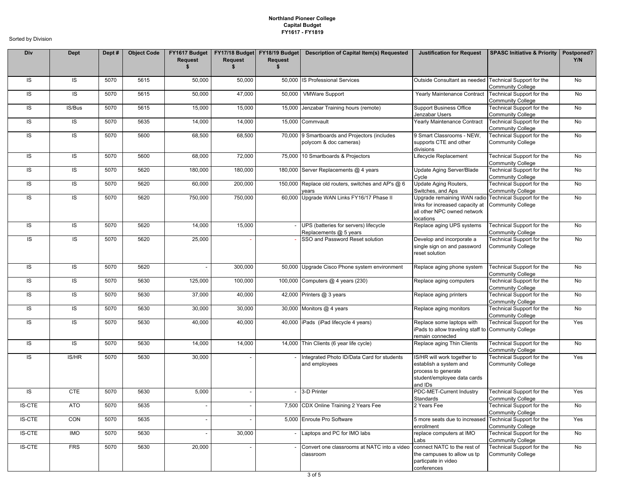| Div           | Dept       | Dept# | <b>Object Code</b> | Request<br>\$ | <b>Request</b><br>\$ | <b>Request</b><br>\$ | FY1617 Budget   FY17/18 Budget   FY18/19 Budget   Description of Capital Item(s) Requested | <b>Justification for Request</b>                                                                                                     | <b>SPASC Initiative &amp; Priority</b>                       | Postponed?<br>Y/N |
|---------------|------------|-------|--------------------|---------------|----------------------|----------------------|--------------------------------------------------------------------------------------------|--------------------------------------------------------------------------------------------------------------------------------------|--------------------------------------------------------------|-------------------|
| IS            | IS         | 5070  | 5615               | 50,000        | 50,000               | 50,000               | <b>IS Professional Services</b>                                                            | Outside Consultant as needed Technical Support for the                                                                               | <b>Community College</b>                                     | No                |
| IS            | IS         | 5070  | 5615               | 50,000        | 47,000               | 50,000               | <b>VMWare Support</b>                                                                      | Yearly Maintenance Contract                                                                                                          | Technical Support for the<br><b>Community College</b>        | No                |
| IS            | IS/Bus     | 5070  | 5615               | 15,000        | 15,000               | 15,000               | Jenzabar Training hours (remote)                                                           | <b>Support Business Office</b><br>Jenzabar Users                                                                                     | Technical Support for the<br><b>Community College</b>        | No                |
| IS            | IS         | 5070  | 5635               | 14,000        | 14,000               |                      | 15,000 Commvault                                                                           | Yearly Maintenance Contract                                                                                                          | Technical Support for the<br><b>Community College</b>        | No                |
| IS            | IS         | 5070  | 5600               | 68,500        | 68,500               |                      | 70,000 9 Smartboards and Projectors (includes<br>polycom & doc cameras)                    | 9 Smart Classrooms - NEW,<br>supports CTE and other<br>divisions                                                                     | Technical Support for the<br><b>Community College</b>        | No                |
| IS            | IS         | 5070  | 5600               | 68,000        | 72,000               |                      | 75,000 10 Smartboards & Projectors                                                         | Lifecycle Replacement                                                                                                                | Technical Support for the<br><b>Community College</b>        | No                |
| IS            | IS         | 5070  | 5620               | 180,000       | 180,000              |                      | 180,000 Server Replacements @ 4 years                                                      | Update Aging Server/Blade<br>Cycle                                                                                                   | Technical Support for the<br><b>Community College</b>        | No                |
| IS            | IS         | 5070  | 5620               | 60,000        | 200,000              | 150,000              | Replace old routers, switches and AP's @ 6<br>vears                                        | Update Aging Routers,<br>Switches, and Aps                                                                                           | Technical Support for the<br><b>Community College</b>        | No                |
| IS            | IS         | 5070  | 5620               | 750,000       | 750,000              |                      | 60,000 Upgrade WAN Links FY16/17 Phase II                                                  | Upgrade remaining WAN radio Technical Support for the<br>links for increased capacity at<br>all other NPC owned network<br>locations | <b>Community College</b>                                     | No                |
| IS            | IS         | 5070  | 5620               | 14,000        | 15,000               |                      | UPS (batteries for servers) lifecycle<br>Replacements @ 5 years                            | Replace aging UPS systems                                                                                                            | Technical Support for the<br><b>Community College</b>        | No                |
| IS            | IS         | 5070  | 5620               | 25,000        |                      |                      | SSO and Password Reset solution                                                            | Develop and incorporate a<br>single sign on and password<br>reset solution                                                           | <b>Technical Support for the</b><br><b>Community College</b> | No                |
| IS            | IS         | 5070  | 5620               |               | 300,000              |                      | 50,000 Upgrade Cisco Phone system environment                                              | Replace aging phone system                                                                                                           | Technical Support for the<br><b>Community College</b>        | No                |
| IS            | IS         | 5070  | 5630               | 125,000       | 100,000              |                      | 100,000 Computers @ 4 years (230)                                                          | Replace aging computers                                                                                                              | Technical Support for the<br><b>Community College</b>        | No                |
| IS            | IS         | 5070  | 5630               | 37,000        | 40,000               |                      | 42,000 Printers @ 3 years                                                                  | Replace aging printers                                                                                                               | Technical Support for the<br><b>Community College</b>        | No                |
| IS            | IS         | 5070  | 5630               | 30,000        | 30,000               |                      | 30,000 Monitors @ 4 years                                                                  | Replace aging monitors                                                                                                               | Technical Support for the<br><b>Community College</b>        | No                |
| IS            | IS         | 5070  | 5630               | 40,000        | 40,000               |                      | 40,000 iPads (iPad lifecycle 4 years)                                                      | Replace some laptops with<br>iPads to allow traveling staff to Community College<br>remain connected                                 | Technical Support for the                                    | Yes               |
| IS            | IS         | 5070  | 5630               | 14,000        | 14,000               |                      | 14,000 Thin Clients (6 year life cycle)                                                    | Replace aging Thin Clients                                                                                                           | Technical Support for the<br><b>Community College</b>        | No                |
| IS            | IS/HR      | 5070  | 5630               | 30,000        |                      |                      | Integrated Photo ID/Data Card for students<br>and employees                                | IS/HR will work together to<br>establish a system and<br>process to generate<br>student/employee data cards<br>and IDs               | Technical Support for the<br><b>Community College</b>        | Yes               |
| IS            | <b>CTE</b> | 5070  | 5630               | 5,000         |                      |                      | 3-D Printer                                                                                | PDC-MET-Current Industry<br>Standards                                                                                                | Technical Support for the<br><b>Community College</b>        | Yes               |
| IS-CTE        | ATO        | 5070  | 5635               |               |                      |                      | 7,500 CDX Online Training 2 Years Fee                                                      | 2 Years Fee                                                                                                                          | Technical Support for the<br><b>Community College</b>        | No                |
| <b>IS-CTE</b> | CON        | 5070  | 5635               |               |                      |                      | 5,000 Enroute Pro Software                                                                 | 5 more seats due to increased Technical Support for the<br>enrollment                                                                | <b>Community College</b>                                     | Yes               |
| <b>IS-CTE</b> | <b>IMO</b> | 5070  | 5630               |               | 30,000               |                      | Laptops and PC for IMO labs                                                                | replace computers at IMO<br>Labs                                                                                                     | Technical Support for the<br><b>Community College</b>        | No                |
| <b>IS-CTE</b> | <b>FRS</b> | 5070  | 5630               | 20,000        |                      |                      | Convert one classrooms at NATC into a video<br>classroom                                   | connect NATC to the rest of<br>the campuses to allow us tp<br>particpate in video<br>conferences                                     | Technical Support for the<br><b>Community College</b>        | No                |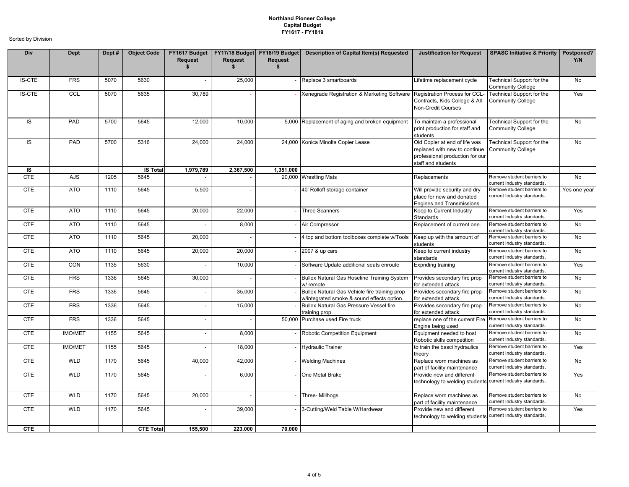| Div           | Dept           | Dept# | <b>Object Code</b> | <b>Request</b><br>\$     | <b>Request</b> | <b>Request</b><br>\$ | FY1617 Budget   FY17/18 Budget   FY18/19 Budget   Description of Capital Item(s) Requested  | <b>Justification for Request</b>                                                                                        | <b>SPASC Initiative &amp; Priority</b>                       | Postponed?<br>Y/N |
|---------------|----------------|-------|--------------------|--------------------------|----------------|----------------------|---------------------------------------------------------------------------------------------|-------------------------------------------------------------------------------------------------------------------------|--------------------------------------------------------------|-------------------|
| <b>IS-CTE</b> | <b>FRS</b>     | 5070  | 5630               | $\overline{\phantom{a}}$ | 25,000         |                      | Replace 3 smartboards                                                                       | Lifetime replacement cycle                                                                                              | Technical Support for the<br><b>Community College</b>        | <b>No</b>         |
| <b>IS-CTE</b> | CCL            | 5070  | 5635               | 30,789                   |                |                      | Xenegrade Registration & Marketing Software                                                 | Registration Process for CCL<br>Contracts, Kids College & All<br>Non-Credit Courses                                     | Technical Support for the<br><b>Community College</b>        | Yes               |
| IS            | PAD            | 5700  | 5645               | 12,000                   | 10,000         |                      | 5,000 Replacement of aging and broken equipment                                             | To maintain a professional<br>print production for staff and<br>students                                                | Technical Support for the<br><b>Community College</b>        | No                |
| IS            | PAD            | 5700  | 5316               | 24,000                   | 24,000         |                      | 24,000 Konica Minolta Copier Lease                                                          | Old Copier at end of life was<br>replaced with new to continue<br>professional production for our<br>staff and students | <b>Technical Support for the</b><br><b>Community College</b> | No                |
| IS            |                |       | <b>IS Total</b>    | 1,979,789                | 2,367,500      | 1.351.000            |                                                                                             |                                                                                                                         |                                                              |                   |
| <b>CTE</b>    | AJS            | 1205  | 5645               |                          |                |                      | 20,000 Wrestling Mats                                                                       | Replacements                                                                                                            | Remove student barriers to<br>current Industry standards.    | No                |
| <b>CTE</b>    | <b>ATO</b>     | 1110  | 5645               | 5,500                    |                |                      | 40' Rolloff storage container                                                               | Will provide security and dry<br>place for new and donated<br><b>Engines and Transmissions</b>                          | Remove student barriers to<br>current Industry standards.    | Yes one year      |
| <b>CTE</b>    | ATO            | 1110  | 5645               | 20,000                   | 22,000         |                      | <b>Three Scanners</b>                                                                       | Keep to Current Industry<br>Standards                                                                                   | Remove student barriers to<br>current Industry standards.    | Yes               |
| <b>CTE</b>    | ATO            | 1110  | 5645               |                          | 8,000          |                      | Air Compressor                                                                              | Replacement of current one.                                                                                             | Remove student barriers to<br>current Industry standards.    | <b>No</b>         |
| <b>CTE</b>    | ATO            | 1110  | 5645               | 20,000                   |                |                      | 4 top and bottom toolboxes complete w/Tools                                                 | Keep up with the amount of<br>students                                                                                  | Remove student barriers to<br>current Industry standards.    | No                |
| <b>CTE</b>    | ATO            | 1110  | 5645               | 20,000                   | 20,000         |                      | 2007 & up cars                                                                              | Keep to current industry<br>standards                                                                                   | Remove student barriers to<br>current Industry standards.    | <b>No</b>         |
| CTE           | CON            | 1135  | 5630               |                          | 10,000         |                      | Software Update additional seats enroute                                                    | Expnding training                                                                                                       | Remove student barriers to<br>current Industry standards.    | Yes               |
| <b>CTE</b>    | <b>FRS</b>     | 1336  | 5645               | 30,000                   |                |                      | Bullex Natural Gas Hoseline Training System<br>w/ remote                                    | Provides secondary fire prop<br>for extended attack.                                                                    | Remove student barriers to<br>current Industry standards.    | No                |
| <b>CTE</b>    | <b>FRS</b>     | 1336  | 5645               |                          | 35,000         |                      | Bullex Natural Gas Vehicle fire training prop<br>w/integrated smoke & sound effects option. | Provides secondary fire prop<br>for extended attack.                                                                    | Remove student barriers to<br>current Industry standards.    | <b>No</b>         |
| <b>CTE</b>    | <b>FRS</b>     | 1336  | 5645               |                          | 15,000         |                      | <b>Bullex Natural Gas Pressure Vessel fire</b><br>training prop.                            | Provides secondary fire prop<br>for extended attack.                                                                    | Remove student barriers to<br>current Industry standards.    | <b>No</b>         |
| CTE           | <b>FRS</b>     | 1336  | 5645               |                          |                |                      | 50,000 Purchase used Fire truck                                                             | replace one of the current Fire<br>Engine being used                                                                    | Remove student barriers to<br>current Industry standards.    | No                |
| <b>CTE</b>    | <b>IMO/MET</b> | 1155  | 5645               | $\overline{\phantom{a}}$ | 8,000          |                      | Robotic Competition Equipment                                                               | Equipment needed to host<br>Robotic skills competition                                                                  | Remove student barriers to<br>current Industry standards.    | No                |
| <b>CTE</b>    | <b>IMO/MET</b> | 1155  | 5645               | $\overline{\phantom{a}}$ | 18,000         |                      | <b>Hydraulic Trainer</b>                                                                    | to train the basci hydraulics<br>theory                                                                                 | Remove student barriers to<br>current Industry standards.    | Yes               |
| <b>CTE</b>    | <b>WLD</b>     | 1170  | 5645               | 40,000                   | 42,000         |                      | <b>Welding Machines</b>                                                                     | Replace worn machines as<br>part of facility maintenance                                                                | Remove student barriers to<br>current Industry standards.    | <b>No</b>         |
| <b>CTE</b>    | <b>WLD</b>     | 1170  | 5645               |                          | 6,000          |                      | One Metal Brake                                                                             | Provide new and different<br>technology to welding students current Industry standards.                                 | Remove student barriers to                                   | Yes               |
| <b>CTE</b>    | <b>WLD</b>     | 1170  | 5645               | 20,000                   |                |                      | Three- Millhogs                                                                             | Replace worn machines as<br>part of facility maintenance                                                                | Remove student barriers to<br>current Industry standards.    | No                |
| <b>CTE</b>    | <b>WLD</b>     | 1170  | 5645               | $\overline{\phantom{a}}$ | 39,000         |                      | 3-Cutting/Weld Table W/Hardwear                                                             | Provide new and different<br>technology to welding students current Industry standards.                                 | Remove student barriers to                                   | Yes               |
| <b>CTE</b>    |                |       | <b>CTE Total</b>   | 155,500                  | 223,000        | 70,000               |                                                                                             |                                                                                                                         |                                                              |                   |